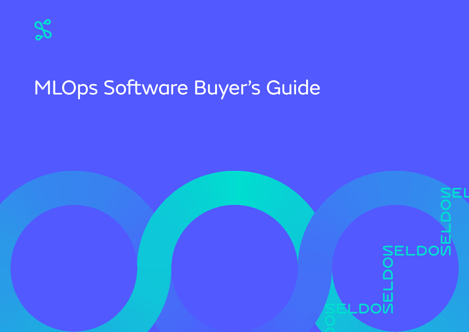

# MLOps Software Buyer's Guide

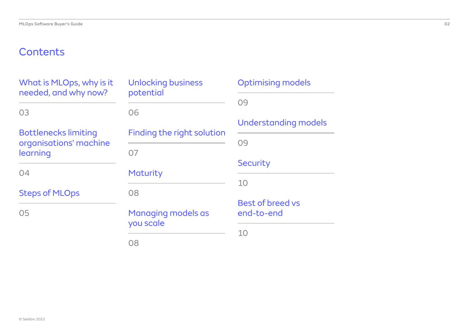# **Contents**

| What is MLOps, why is it<br>needed, and why now?      | <b>Unlocking business</b><br>potential | Optimising m         |
|-------------------------------------------------------|----------------------------------------|----------------------|
|                                                       |                                        | 09                   |
| 03                                                    | 06                                     |                      |
|                                                       |                                        | Understandin         |
| <b>Bottlenecks limiting</b><br>organisations' machine | <b>Finding the right solution</b>      | 09                   |
| learning                                              | 07                                     |                      |
|                                                       |                                        | <b>Security</b>      |
| 04                                                    | <b>Maturity</b>                        | 10                   |
| <b>Steps of MLOps</b>                                 | 08                                     |                      |
|                                                       |                                        | <b>Best of breed</b> |
| 05                                                    | Managing models as                     | end-to-end           |
|                                                       | you scale                              | 10                   |
|                                                       | 08                                     |                      |

| <b>Optimising models</b>              |
|---------------------------------------|
| 09                                    |
| Understanding models                  |
| 09                                    |
| <b>Security</b>                       |
| 10                                    |
| <b>Best of breed vs</b><br>end-to-end |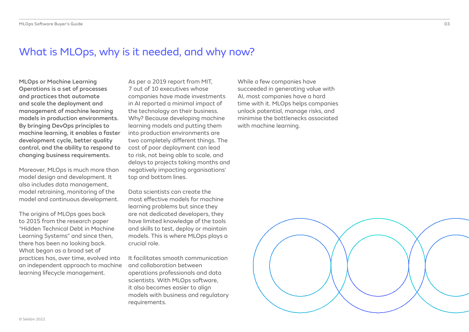### What is MLOps, why is it needed, and why now?

MLOps or Machine Learning Operations is a set of processes and practices that automate and scale the deployment and management of machine learning models in production environments. By bringing DevOps principles to machine learning, it enables a faster development cycle, better quality control, and the ability to respond to changing business requirements.

Moreover, MLOps is much more than model design and development. It also includes data management, model retraining, monitoring of the model and continuous development.

The origins of MLOps goes back to 2015 from the research paper "Hidden Technical Debt in Machine Learning Systems" and since then, there has been no looking back. What began as a broad set of practices has, over time, evolved into an independent approach to machine learning lifecycle management.

As per a 2019 report from MIT, 7 out of 10 executives whose companies have made investments in AI reported a minimal impact of the technology on their business. Why? Because developing machine learning models and putting them into production environments are two completely different things. The cost of poor deployment can lead to risk, not being able to scale, and delays to projects taking months and negatively impacting organisations' top and bottom lines.

Data scientists can create the most effective models for machine learning problems but since they are not dedicated developers, they have limited knowledge of the tools and skills to test, deploy or maintain models. This is where MLOps plays a crucial role.

It facilitates smooth communication and collaboration between operations professionals and data scientists. With MLOps software, it also becomes easier to align models with business and regulatory requirements.

While a few companies have succeeded in generating value with AI, most companies have a hard time with it. MLOps helps companies unlock potential, manage risks, and minimise the bottlenecks associated with machine learning.



03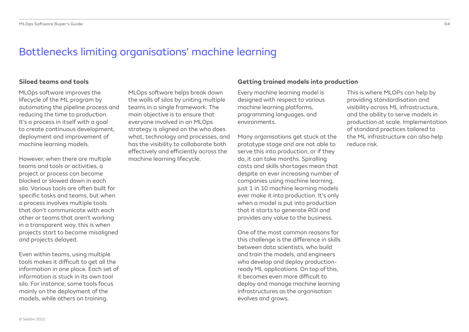### Bottlenecks limiting organisations' machine learning

MLOps software improves the lifecycle of the ML program by automating the pipeline process and reducing the time to production. It's a process in itself with a goal to create continuous development, deployment and improvement of machine learning models.

However, when there are multiple teams and tools or activities, a project or process can become blocked or slowed down in each silo. Various tools are often built for specific tasks and teams, but when a process involves multiple tools that don't communicate with each other or teams that aren't working in a transparent way, this is when projects start to become misaligned and projects delayed.

Even within teams, using multiple tools makes it difficult to get all the information in one place. Each set of information is stuck in its own tool silo. For instance, some tools focus mainly on the deployment of the models, while others on training.

MLOps software helps break down the walls of silos by uniting multiple teams in a single framework. The main objective is to ensure that everyone involved in an MLOps strategy is aligned on the who does what, technology and processes, and has the visibility to collaborate both effectively and efficiently across the machine learning lifecycle.

### **Siloed teams and tools Getting trained models into production**

Every machine learning model is designed with respect to various machine learning platforms, programming languages, and environments.

Many organisations get stuck at the prototype stage and are not able to serve this into production, or if they do, it can take months. Spiralling costs and skills shortages mean that despite an ever increasing number of companies using machine learning, just 1 in 10 machine learning models ever make it into production. It's only when a model is put into production that it starts to generate ROI and provides any value to the business.

One of the most common reasons for this challenge is the difference in skills between data scientists, who build and train the models, and engineers who develop and deploy productionready ML applications. On top of this, it becomes even more difficult to deploy and manage machine learning infrastructures as the organisation evolves and grows.

This is where MLOPs can help by providing standardisation and visibility across ML infrastructure, and the ability to serve models in production at scale. Implementation of standard practices tailored to the ML infrastructure can also help reduce risk.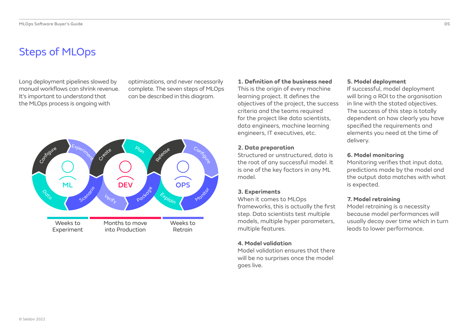# Steps of MLOps

Long deployment pipelines slowed by manual workflows can shrink revenue. It's important to understand that the MLOps process is ongoing with

optimisations, and never necessarily complete. The seven steps of MLOps can be described in this diagram.



#### **1. Definition of the business need**

This is the origin of every machine learning project. It defines the objectives of the project, the success criteria and the teams required for the project like data scientists, data engineers, machine learning engineers, IT executives, etc.

#### **2. Data preparation**

Structured or unstructured, data is the root of any successful model. It is one of the key factors in any ML model.

#### **3. Experiments**

When it comes to MLOps frameworks, this is actually the first step. Data scientists test multiple models, multiple hyper parameters, multiple features.

#### **4. Model validation**

Model validation ensures that there will be no surprises once the model goes live.

### **5. Model deployment**

If successful, model deployment will bring a ROI to the organisation in line with the stated objectives. The success of this step is totally dependent on how clearly you have specified the requirements and elements you need at the time of delivery.

#### **6. Model monitoring**

Monitoring verifies that input data, predictions made by the model and the output data matches with what is expected.

#### **7. Model retraining**

Model retraining is a necessity because model performances will usually decay over time which in turn leads to lower performance.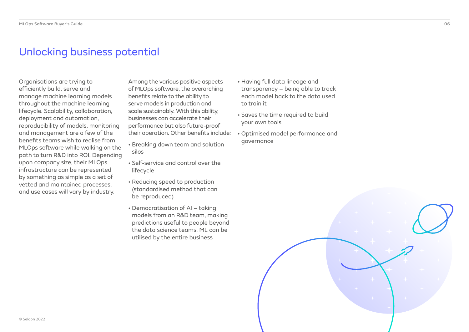### Unlocking business potential

Organisations are trying to efficiently build, serve and manage machine learning models throughout the machine learning lifecycle. Scalability, collaboration, deployment and automation, reproducibility of models, monitoring and management are a few of the benefits teams wish to realise from MLOps software while walking on the path to turn R&D into ROI. Depending upon company size, their MLOps infrastructure can be represented by something as simple as a set of vetted and maintained processes, and use cases will vary by industry.

Among the various positive aspects of MLOps software, the overarching benefits relate to the ability to serve models in production and scale sustainably. With this ability, businesses can accelerate their performance but also future-proof their operation. Other benefits include:

- Breaking down team and solution silos
- Self-service and control over the lifecycle
- Reducing speed to production (standardised method that can be reproduced)
- Democratisation of AI taking models from an R&D team, making predictions useful to people beyond the data science teams. ML can be utilised by the entire business
- Having full data lineage and transparency – being able to track each model back to the data used to train it
- Saves the time required to build your own tools
- Optimised model performance and governance



06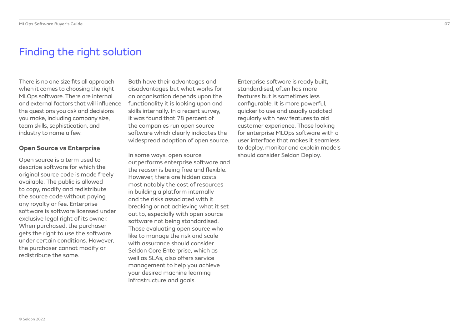### Finding the right solution

There is no one size fits all approach when it comes to choosing the right MLOps software. There are internal and external factors that will influence the questions you ask and decisions you make, including company size, team skills, sophistication, and industry to name a few.

### **Open Source vs Enterprise**

Open source is a term used to describe software for which the original source code is made freely available. The public is allowed to copy, modify and redistribute the source code without paying any royalty or fee. Enterprise software is software licensed under exclusive legal right of its owner. When purchased, the purchaser gets the right to use the software under certain conditions. However, the purchaser cannot modify or redistribute the same.

Both have their advantages and disadvantages but what works for an organisation depends upon the functionality it is looking upon and skills internally. In a recent survey, it was found that 78 percent of the companies run open source software which clearly indicates the widespread adoption of open source.

In some ways, open source outperforms enterprise software and the reason is being free and flexible. However, there are hidden costs most notably the cost of resources in building a platform internally and the risks associated with it breaking or not achieving what it set out to, especially with open source software not being standardised. Those evaluating open source who like to manage the risk and scale with assurance should consider Seldon Core Enterprise, which as well as SLAs, also offers service management to help you achieve your desired machine learning infrastructure and goals.

Enterprise software is ready built, standardised, often has more features but is sometimes less configurable. It is more powerful, quicker to use and usually updated regularly with new features to aid customer experience. Those looking for enterprise MLOps software with a user interface that makes it seamless to deploy, monitor and explain models should consider Seldon Deploy.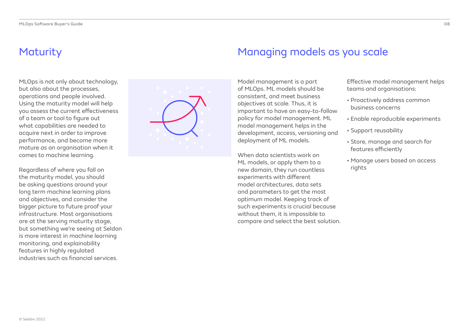### **Maturity**

MLOps is not only about technology, but also about the processes, operations and people involved. Using the maturity model will help you assess the current effectiveness of a team or tool to figure out what capabilities are needed to acquire next in order to improve performance, and become more mature as an organisation when it comes to machine learning.

Regardless of where you fall on the maturity model, you should be asking questions around your long term machine learning plans and objectives, and consider the bigger picture to future proof your infrastructure. Most organisations are at the serving maturity stage, but something we're seeing at Seldon is more interest in machine learning monitoring, and explainability features in highly regulated industries such as financial services.



### Managing models as you scale

Model management is a part of MLOps. ML models should be consistent, and meet business objectives at scale. Thus, it is important to have an easy-to-follow policy for model management. ML model management helps in the development, access, versioning and deployment of ML models.

When data scientists work on ML models, or apply them to a new domain, they run countless experiments with different model architectures, data sets and parameters to get the most optimum model. Keeping track of such experiments is crucial because without them, it is impossible to compare and select the best solution.

Effective model management helps teams and organisations:

- Proactively address common business concerns
- Enable reproducible experiments
- Support reusability
- Store, manage and search for features efficiently
- Manage users based on access rights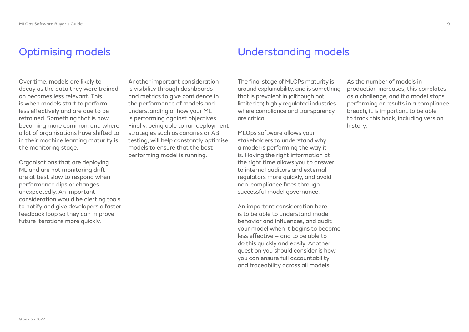# Optimising models

Over time, models are likely to decay as the data they were trained on becomes less relevant. This is when models start to perform less effectively and are due to be retrained. Something that is now becoming more common, and where a lot of organisations have shifted to in their machine learning maturity is the monitoring stage.

Organisations that are deploying ML and are not monitoring drift are at best slow to respond when performance dips or changes unexpectedly. An important consideration would be alerting tools to notify and give developers a faster feedback loop so they can improve future iterations more quickly.

Another important consideration is visibility through dashboards and metrics to give confidence in the performance of models and understanding of how your ML is performing against objectives. Finally, being able to run deployment strategies such as canaries or AB testing, will help constantly optimise models to ensure that the best performing model is running.

### Understanding models

The final stage of MLOPs maturity is around explainability, and is something that is prevalent in (although not limited to) highly regulated industries where compliance and transparency are critical.

MLOps software allows your stakeholders to understand why a model is performing the way it is. Having the right information at the right time allows you to answer to internal auditors and external regulators more quickly, and avoid non-compliance fines through successful model governance.

An important consideration here is to be able to understand model behavior and influences, and audit your model when it begins to become less effective – and to be able to do this quickly and easily. Another question you should consider is how you can ensure full accountability and traceability across all models.

As the number of models in production increases, this correlates as a challenge, and if a model stops performing or results in a compliance breach, it is important to be able to track this back, including version history.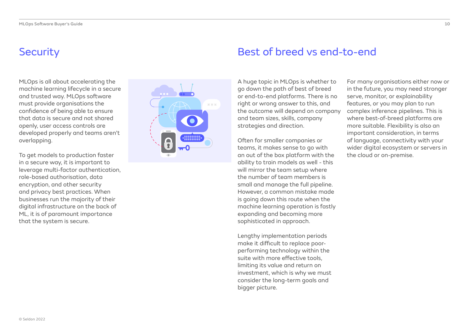### **Security**

MLOps is all about accelerating the machine learning lifecycle in a secure and trusted way. MLOps software must provide organisations the confidence of being able to ensure that data is secure and not shared openly, user access controls are developed properly and teams aren't overlapping.

To get models to production faster in a secure way, it is important to leverage multi-factor authentication, role-based authorisation, data encryption, and other security and privacy best practices. When businesses run the majority of their digital infrastructure on the back of ML, it is of paramount importance that the system is secure.



### Best of breed vs end-to-end

A huge topic in MLOps is whether to go down the path of best of breed or end-to-end platforms. There is no right or wrong answer to this, and the outcome will depend on company and team sizes, skills, company strategies and direction.

Often for smaller companies or teams, it makes sense to go with an out of the box platform with the ability to train models as well - this will mirror the team setup where the number of team members is small and manage the full pipeline. However, a common mistake made is going down this route when the machine learning operation is fastly expanding and becoming more sophisticated in approach.

Lengthy implementation periods make it difficult to replace poorperforming technology within the suite with more effective tools, limiting its value and return on investment, which is why we must consider the long-term goals and bigger picture.

For many organisations either now or in the future, you may need stronger serve, monitor, or explainability features, or you may plan to run complex inference pipelines. This is where best-of-breed platforms are more suitable. Flexibility is also an important consideration, in terms of language, connectivity with your wider digital ecosystem or servers in the cloud or on-premise.